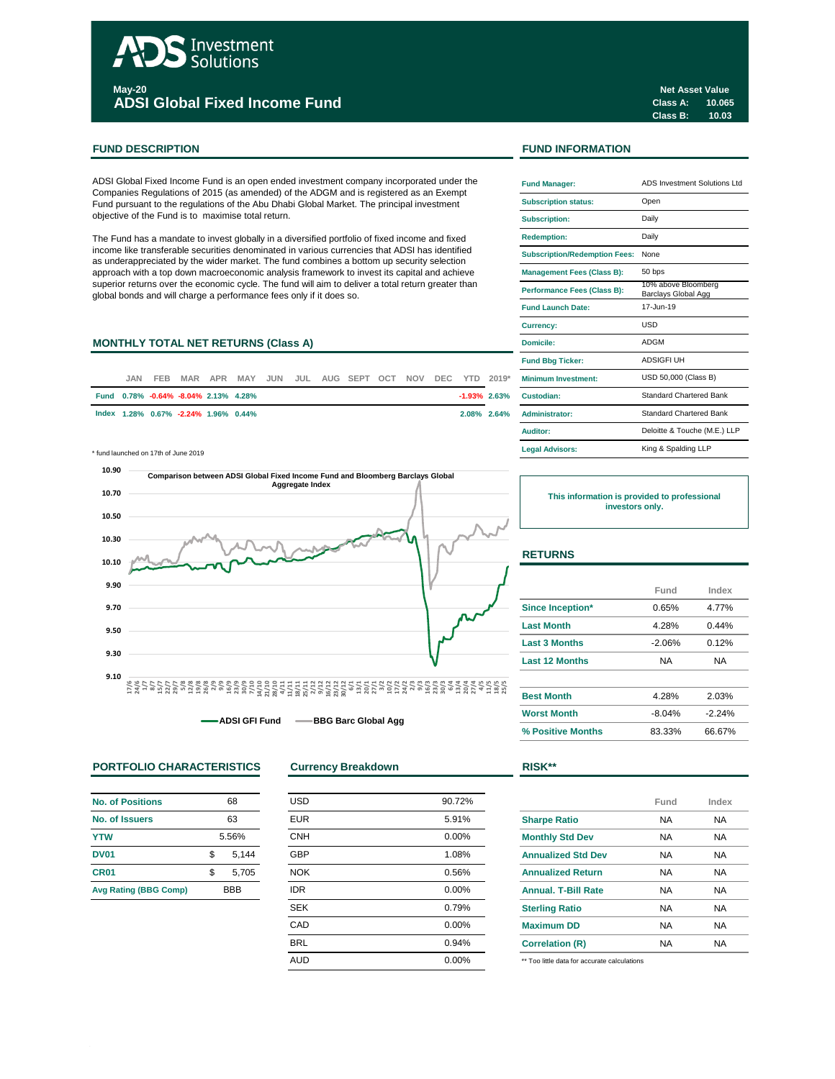# Investment Solutions **May-20**

**ADSI Global Fixed Income Fund**

## **FUND DESCRIPTION FUND INFORMATION**

ADSI Global Fixed Income Fund is an open ended investment company incorporated under the Companies Regulations of 2015 (as amended) of the ADGM and is registered as an Exempt Fund pursuant to the regulations of the Abu Dhabi Global Market. The principal investment objective of the Fund is to maximise total return.

The Fund has a mandate to invest globally in a diversified portfolio of fixed income and fixed income like transferable securities denominated in various currencies that ADSI has identified as underappreciated by the wider market. The fund combines a bottom up security selection approach with a top down macroeconomic analysis framework to invest its capital and achieve superior returns over the economic cycle. The fund will aim to deliver a total return greater than global bonds and will charge a performance fees only if it does so.

## **MONTHLY TOTAL NET RETURNS (Class A)**

| JAN. | FEB.                                 |  |  |  | MAR APR MAY JUN JUL AUG SEPT OCT NOV DEC YTD 2019* |  |  | <b>Minimum Investment:</b> |
|------|--------------------------------------|--|--|--|----------------------------------------------------|--|--|----------------------------|
|      |                                      |  |  |  |                                                    |  |  |                            |
|      | Fund 0.78% -0.64% -8.04% 2.13% 4.28% |  |  |  |                                                    |  |  | $-1.93\%$ 2.63% Custodian: |
|      | lndex 1.28% 0.67% -2.24% 1.96% 0.44% |  |  |  |                                                    |  |  | 2.08% 2.64% Administrator: |

\* fund launched on 17th of June 2019 **Legal Advisors:**



**ADSI GFI Fund BBG Barc Global Agg** 

## **PORTFOLIO CHARACTERISTICS Currency Breakdown RISK\*\***

| <b>No. of Positions</b>      | 68          |
|------------------------------|-------------|
| No. of Issuers               | 63          |
| <b>YTW</b>                   | 5.56%       |
| <b>DV01</b>                  | \$<br>5,144 |
| CR <sub>01</sub>             | \$<br>5,705 |
| <b>Avg Rating (BBG Comp)</b> | <b>BBB</b>  |

| <b>USD</b> | 90.72% |
|------------|--------|
| <b>EUR</b> | 5.91%  |
| <b>CNH</b> | 0.00%  |
| <b>GBP</b> | 1.08%  |
| <b>NOK</b> | 0.56%  |
| <b>IDR</b> | 0.00%  |
| <b>SEK</b> | 0.79%  |
| CAD        | 0.00%  |
| <b>BRL</b> | 0.94%  |
| <b>AUD</b> | 0.00%  |
|            |        |

| <b>Fund Manager:</b>                 | ADS Investment Solutions Ltd               |
|--------------------------------------|--------------------------------------------|
| <b>Subscription status:</b>          | Open                                       |
| <b>Subscription:</b>                 | Daily                                      |
| <b>Redemption:</b>                   | Daily                                      |
| <b>Subscription/Redemption Fees:</b> | None                                       |
| <b>Management Fees (Class B):</b>    | 50 bps                                     |
| Performance Fees (Class B):          | 10% above Bloomberg<br>Barclays Global Agg |
| <b>Fund Launch Date:</b>             | 17-Jun-19                                  |
| Currency:                            | USD                                        |
| Domicile:                            | <b>ADGM</b>                                |
| <b>Fund Bbg Ticker:</b>              | <b>ADSIGFI UH</b>                          |
| Minimum Investment:                  | USD 50,000 (Class B)                       |
| Custodian:                           | Standard Chartered Bank                    |
| <b>Administrator:</b>                | <b>Standard Chartered Bank</b>             |
| Auditor:                             | Deloitte & Touche (M.E.) LLP               |
| <b>Legal Advisors:</b>               | King & Spalding LLP                        |

**This information is provided to professional investors only.**

## **RETURNS**

|                       | Fund     | Index    |
|-----------------------|----------|----------|
| Since Inception*      | 0.65%    | 4.77%    |
| <b>Last Month</b>     | 4.28%    | 0.44%    |
| <b>Last 3 Months</b>  | $-2.06%$ | 0.12%    |
| <b>Last 12 Months</b> | NA       | NA       |
| <b>Best Month</b>     | 4.28%    | 2.03%    |
| <b>Worst Month</b>    | $-8.04%$ | $-2.24%$ |

**% Positive Months** 83.33% 66.67%

|                            | Fund | Index     |
|----------------------------|------|-----------|
| <b>Sharpe Ratio</b>        | NA   | <b>NA</b> |
| <b>Monthly Std Dev</b>     | NA   | <b>NA</b> |
| <b>Annualized Std Dev</b>  | NA   | <b>NA</b> |
| <b>Annualized Return</b>   | NA   | <b>NA</b> |
| <b>Annual, T-Bill Rate</b> | NA   | <b>NA</b> |
| <b>Sterling Ratio</b>      | NA   | <b>NA</b> |
| <b>Maximum DD</b>          | NA   | <b>NA</b> |
| <b>Correlation (R)</b>     | NA   | <b>NA</b> |
|                            |      |           |

\*\* Too little data for accurate calculations